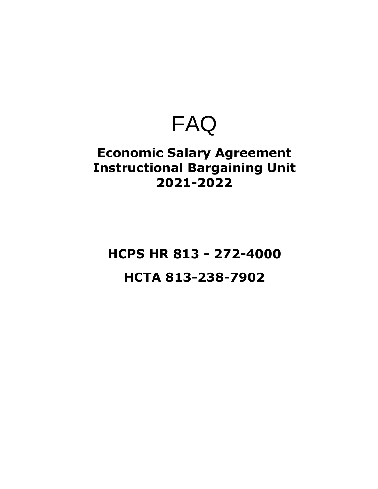# FAQ

### **Economic Salary Agreement Instructional Bargaining Unit 2021-2022**

## **HCPS HR 813 - 272-4000 HCTA 813-238-7902**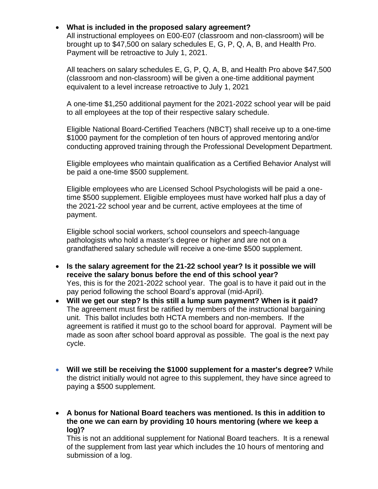### • **What is included in the proposed salary agreement?**

All instructional employees on E00-E07 (classroom and non-classroom) will be brought up to \$47,500 on salary schedules E, G, P, Q, A, B, and Health Pro. Payment will be retroactive to July 1, 2021.

All teachers on salary schedules E, G, P, Q, A, B, and Health Pro above \$47,500 (classroom and non-classroom) will be given a one-time additional payment equivalent to a level increase retroactive to July 1, 2021

A one-time \$1,250 additional payment for the 2021-2022 school year will be paid to all employees at the top of their respective salary schedule.

Eligible National Board-Certified Teachers (NBCT) shall receive up to a one-time \$1000 payment for the completion of ten hours of approved mentoring and/or conducting approved training through the Professional Development Department.

Eligible employees who maintain qualification as a Certified Behavior Analyst will be paid a one-time \$500 supplement.

Eligible employees who are Licensed School Psychologists will be paid a onetime \$500 supplement. Eligible employees must have worked half plus a day of the 2021-22 school year and be current, active employees at the time of payment.

Eligible school social workers, school counselors and speech-language pathologists who hold a master's degree or higher and are not on a grandfathered salary schedule will receive a one-time \$500 supplement.

- **Is the salary agreement for the 21-22 school year? Is it possible we will receive the salary bonus before the end of this school year?** Yes, this is for the 2021-2022 school year. The goal is to have it paid out in the pay period following the school Board's approval (mid-April).
- **Will we get our step? Is this still a lump sum payment? When is it paid?** The agreement must first be ratified by members of the instructional bargaining unit. This ballot includes both HCTA members and non-members. If the agreement is ratified it must go to the school board for approval. Payment will be made as soon after school board approval as possible. The goal is the next pay cycle.
- **Will we still be receiving the \$1000 supplement for a master's degree?** While the district initially would not agree to this supplement, they have since agreed to paying a \$500 supplement.
- **A bonus for National Board teachers was mentioned. Is this in addition to the one we can earn by providing 10 hours mentoring (where we keep a log)?**

This is not an additional supplement for National Board teachers. It is a renewal of the supplement from last year which includes the 10 hours of mentoring and submission of a log.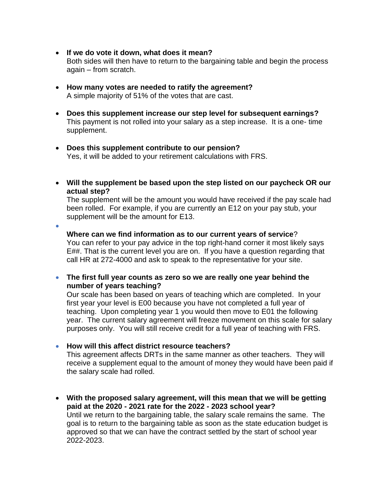- **If we do vote it down, what does it mean?** Both sides will then have to return to the bargaining table and begin the process again – from scratch.
- **How many votes are needed to ratify the agreement?** A simple majority of 51% of the votes that are cast.
- **Does this supplement increase our step level for subsequent earnings?** This payment is not rolled into your salary as a step increase. It is a one- time supplement.
- **Does this supplement contribute to our pension?** Yes, it will be added to your retirement calculations with FRS.
- **Will the supplement be based upon the step listed on our paycheck OR our actual step?**

The supplement will be the amount you would have received if the pay scale had been rolled. For example, if you are currently an E12 on your pay stub, your supplement will be the amount for E13.

•

#### **Where can we find information as to our current years of service**?

You can refer to your pay advice in the top right-hand corner it most likely says E##. That is the current level you are on. If you have a question regarding that call HR at 272-4000 and ask to speak to the representative for your site.

• **The first full year counts as zero so we are really one year behind the number of years teaching?**

Our scale has been based on years of teaching which are completed. In your first year your level is E00 because you have not completed a full year of teaching. Upon completing year 1 you would then move to E01 the following year. The current salary agreement will freeze movement on this scale for salary purposes only. You will still receive credit for a full year of teaching with FRS.

• **How will this affect district resource teachers?**

This agreement affects DRTs in the same manner as other teachers. They will receive a supplement equal to the amount of money they would have been paid if the salary scale had rolled.

• **With the proposed salary agreement, will this mean that we will be getting paid at the 2020 - 2021 rate for the 2022 - 2023 school year?**  Until we return to the bargaining table, the salary scale remains the same. The goal is to return to the bargaining table as soon as the state education budget is approved so that we can have the contract settled by the start of school year 2022-2023.